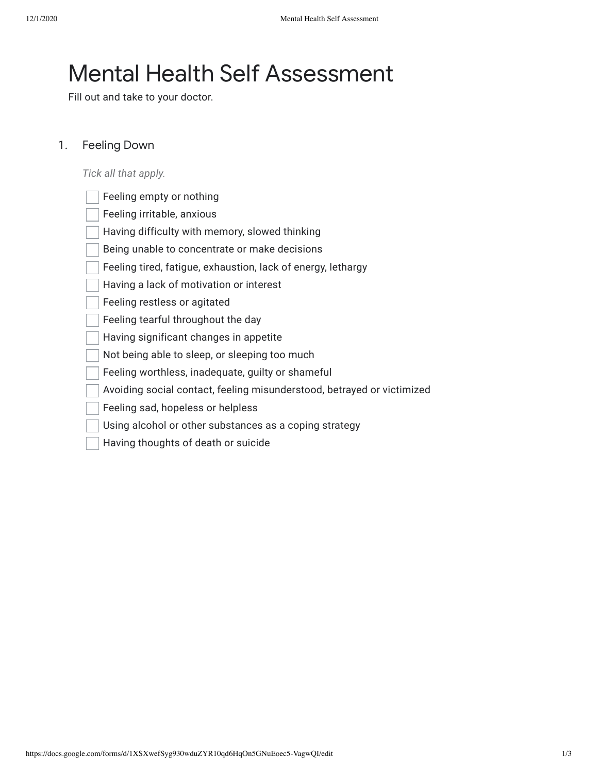# Mental Health Self Assessment

Fill out and take to your doctor.

#### 1. Feeling Down

*Tick all that apply.*

| Feeling empty or nothing                                               |
|------------------------------------------------------------------------|
| Feeling irritable, anxious                                             |
| Having difficulty with memory, slowed thinking                         |
| Being unable to concentrate or make decisions                          |
| Feeling tired, fatigue, exhaustion, lack of energy, lethargy           |
| Having a lack of motivation or interest                                |
| Feeling restless or agitated                                           |
| Feeling tearful throughout the day                                     |
| Having significant changes in appetite                                 |
| Not being able to sleep, or sleeping too much                          |
| Feeling worthless, inadequate, guilty or shameful                      |
| Avoiding social contact, feeling misunderstood, betrayed or victimized |
| Feeling sad, hopeless or helpless                                      |
| Using alcohol or other substances as a coping strategy                 |

https://docs.google.com/forms/d/1XSXwefSyg930wduZYR10qd6HqOn5GNuEoec5-VagwQI/edit 1/3

Having thoughts of death or suicide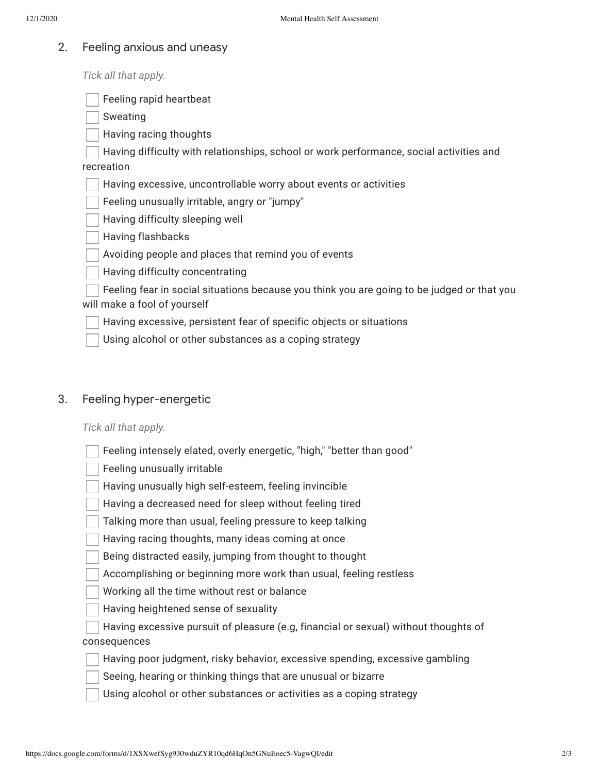#### 2. Feeling anxious and uneasy

*Tick all that apply.*

Feeling rapid heartbeat

Sweating

Having racing thoughts

Having difficulty with relationships, school or work performance, social activities and recreation

Having excessive, uncontrollable worry about events or activities

Feeling unusually irritable, angry or "jumpy"

Having difficulty sleeping well

Having flashbacks

Avoiding people and places that remind you of events

Having difficulty concentrating

Feeling fear in social situations because you think you are going to be judged or that you will make a fool of yourself

Having excessive, persistent fear of specific objects or situations

Using alcohol or other substances as a coping strategy

#### 3. Feeling hyper-energetic

*Tick all that apply.*

| Feeling intensely elated, overly energetic, "high," "better than good" |  |  |  |  |
|------------------------------------------------------------------------|--|--|--|--|
|                                                                        |  |  |  |  |

Feeling unusually irritable

Having unusually high self-esteem, feeling invincible

Having a decreased need for sleep without feeling tired

Talking more than usual, feeling pressure to keep talking

Having racing thoughts, many ideas coming at once

Being distracted easily, jumping from thought to thought

Accomplishing or beginning more work than usual, feeling restless

Working all the time without rest or balance

Having heightened sense of sexuality

Having excessive pursuit of pleasure (e.g, financial or sexual) without thoughts of consequences

Having poor judgment, risky behavior, excessive spending, excessive gambling

Seeing, hearing or thinking things that are unusual or bizarre

Using alcohol or other substances or activities as a coping strategy